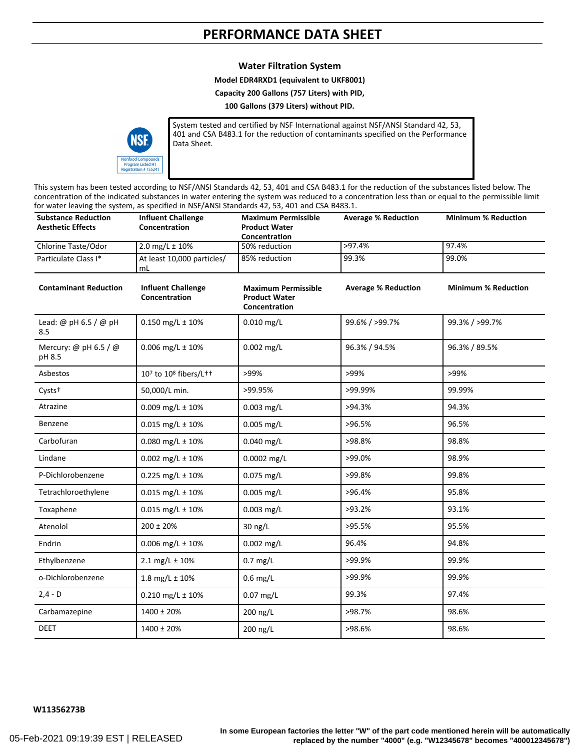# **PERFORMANCE DATA SHEET**

## **Water Filtration System**

**Model EDR4RXD1 (equivalent to UKF8001)**

**Capacity 200 Gallons (757 Liters) with PID,**

**100 Gallons (379 Liters) without PID.**

System tested and certified by NSF International against NSF/ANSI Standard 42, 53, 401 and CSA B483.1 for the reduction of contaminants specified on the Performance Data Sheet.

NSF rogram Listed H1<br>jistration # 155241

This system has been tested according to NSF/ANSI Standards 42, 53, 401 and CSA B483.1 for the reduction of the substances listed below. The concentration of the indicated substances in water entering the system was reduced to a concentration less than or equal to the permissible limit for water leaving the system, as specified in NSF/ANSI Standards 42, 53, 401 and CSA B483.1.

| <b>Substance Reduction</b><br><b>Aesthetic Effects</b> | <b>Influent Challenge</b><br>Concentration | <b>Maximum Permissible</b><br><b>Product Water</b><br>Concentration | <b>Average % Reduction</b> | <b>Minimum % Reduction</b> |
|--------------------------------------------------------|--------------------------------------------|---------------------------------------------------------------------|----------------------------|----------------------------|
| Chlorine Taste/Odor                                    | $2.0$ mg/L ± 10%                           | 50% reduction                                                       | >97.4%                     | 97.4%                      |
| Particulate Class I*                                   | At least 10,000 particles/<br>mL           | 85% reduction                                                       | 99.3%                      | 99.0%                      |
| <b>Contaminant Reduction</b>                           | <b>Influent Challenge</b><br>Concentration | <b>Maximum Permissible</b><br><b>Product Water</b><br>Concentration | <b>Average % Reduction</b> | <b>Minimum % Reduction</b> |
| Lead: $@$ pH 6.5 / $@$ pH<br>8.5                       | $0.150$ mg/L $\pm$ 10%                     | 0.010 mg/L                                                          | 99.6% / >99.7%             | 99.3% / >99.7%             |
| Mercury: @ pH 6.5 / @<br>pH 8.5                        | $0.006$ mg/L $\pm$ 10%                     | $0.002$ mg/L                                                        | 96.3% / 94.5%              | 96.3% / 89.5%              |
| Asbestos                                               | 107 to 108 fibers/L++                      | >99%                                                                | >99%                       | >99%                       |
| Cysts <sup>+</sup>                                     | 50,000/L min.                              | >99.95%                                                             | >99.99%                    | 99.99%                     |
| Atrazine                                               | 0.009 mg/L $\pm$ 10%                       | $0.003$ mg/L                                                        | >94.3%                     | 94.3%                      |
| Benzene                                                | $0.015$ mg/L ± 10%                         | 0.005 mg/L                                                          | >96.5%                     | 96.5%                      |
| Carbofuran                                             | 0.080 mg/L $\pm$ 10%                       | 0.040 mg/L                                                          | >98.8%                     | 98.8%                      |
| Lindane                                                | $0.002$ mg/L ± 10%                         | 0.0002 mg/L                                                         | >99.0%                     | 98.9%                      |
| P-Dichlorobenzene                                      | $0.225$ mg/L $\pm$ 10%                     | 0.075 mg/L                                                          | >99.8%                     | 99.8%                      |
| Tetrachloroethylene                                    | $0.015$ mg/L ± 10%                         | $0.005$ mg/L                                                        | >96.4%                     | 95.8%                      |
| Toxaphene                                              | $0.015$ mg/L ± 10%                         | $0.003$ mg/L                                                        | >93.2%                     | 93.1%                      |
| Atenolol                                               | $200 \pm 20%$                              | 30 ng/L                                                             | >95.5%                     | 95.5%                      |
| Endrin                                                 | 0.006 mg/L $\pm$ 10%                       | $0.002$ mg/L                                                        | 96.4%                      | 94.8%                      |
| Ethylbenzene                                           | 2.1 mg/L $\pm$ 10%                         | $0.7$ mg/L                                                          | >99.9%                     | 99.9%                      |
| o-Dichlorobenzene                                      | 1.8 mg/L $\pm$ 10%                         | $0.6$ mg/L                                                          | >99.9%                     | 99.9%                      |
| $2,4 - D$                                              | $0.210$ mg/L $\pm$ 10%                     | $0.07$ mg/L                                                         | 99.3%                      | 97.4%                      |
| Carbamazepine                                          | $1400 \pm 20\%$                            | 200 ng/L                                                            | >98.7%                     | 98.6%                      |
| DEET                                                   | 1400 ± 20%                                 | 200 ng/L                                                            | >98.6%                     | 98.6%                      |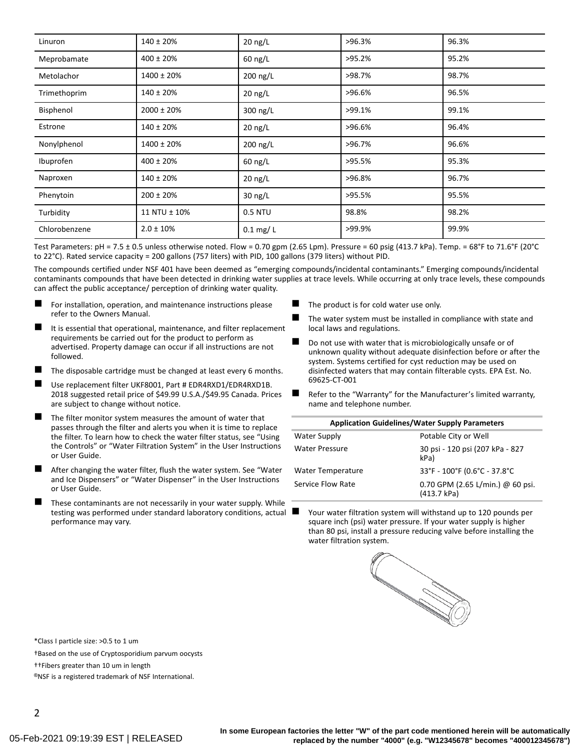| Linuron       | $140 \pm 20\%$  | 20 ng/L     | >96.3% | 96.3% |
|---------------|-----------------|-------------|--------|-------|
| Meprobamate   | $400 \pm 20\%$  | 60 ng/L     | >95.2% | 95.2% |
| Metolachor    | $1400 \pm 20\%$ | 200 ng/L    | >98.7% | 98.7% |
| Trimethoprim  | $140 \pm 20\%$  | 20 ng/L     | >96.6% | 96.5% |
| Bisphenol     | $2000 \pm 20\%$ | 300 ng/L    | >99.1% | 99.1% |
| Estrone       | $140 \pm 20\%$  | 20 ng/L     | >96.6% | 96.4% |
| Nonylphenol   | $1400 \pm 20\%$ | 200 ng/L    | >96.7% | 96.6% |
| Ibuprofen     | $400 \pm 20\%$  | 60 ng/L     | >95.5% | 95.3% |
| Naproxen      | $140 \pm 20\%$  | 20 ng/L     | >96.8% | 96.7% |
| Phenytoin     | $200 \pm 20\%$  | 30 ng/L     | >95.5% | 95.5% |
| Turbidity     | 11 NTU ± 10%    | 0.5 NTU     | 98.8%  | 98.2% |
| Chlorobenzene | $2.0 \pm 10\%$  | $0.1$ mg/ L | >99.9% | 99.9% |

Test Parameters:  $pH = 7.5 \pm 0.5$  unless otherwise noted. Flow = 0.70 gpm (2.65 Lpm). Pressure = 60 psig (413.7 kPa). Temp. = 68°F to 71.6°F (20°C to 22°C). Rated service capacity = 200 gallons (757 liters) with PID, 100 gallons (379 liters) without PID.

The compounds certified under NSF 401 have been deemed as "emerging compounds/incidental contaminants." Emerging compounds/incidental contaminants compounds that have been detected in drinking water supplies at trace levels. While occurring at only trace levels, these compounds can affect the public acceptance/ perception of drinking water quality.

- � For installation, operation, and maintenance instructions please refer to the Owners Manual.
- It is essential that operational, maintenance, and filter replacement requirements be carried out for the product to perform as advertised. Property damage can occur if all instructions are not followed.
- The disposable cartridge must be changed at least every 6 months.
- Use replacement filter UKF8001, Part # EDR4RXD1/EDR4RXD1B. 2018 suggested retail price of \$49.99 U.S.A./\$49.95 Canada. Prices are subject to change without notice.
- The filter monitor system measures the amount of water that passes through the filter and alerts you when it is time to replace the filter. To learn how to check the water filter status, see "Using the Controls" or "Water Filtration System" in the User Instructions or User Guide.
- After changing the water filter, flush the water system. See "Water and Ice Dispensers" or "Water Dispenser" in the User Instructions or User Guide.
- These contaminants are not necessarily in your water supply. While testing was performed under standard laboratory conditions, actual performance may vary.
- The product is for cold water use only.
- The water system must be installed in compliance with state and local laws and regulations.
- � Do not use with water that is microbiologically unsafe or of unknown quality without adequate disinfection before or after the system. Systems certified for cyst reduction may be used on disinfected waters that may contain filterable cysts. EPA Est. No. 69625-CT-001
- Refer to the "Warranty" for the Manufacturer's limited warranty, name and telephone number.

| <b>Application Guidelines/Water Supply Parameters</b> |                                                 |  |  |
|-------------------------------------------------------|-------------------------------------------------|--|--|
| Water Supply                                          | Potable City or Well                            |  |  |
| <b>Water Pressure</b>                                 | 30 psi - 120 psi (207 kPa - 827<br>kPa)         |  |  |
| <b>Water Temperature</b>                              | 33°F - 100°F (0.6°C - 37.8°C                    |  |  |
| Service Flow Rate                                     | 0.70 GPM (2.65 L/min.) @ 60 psi.<br>(413.7 kPa) |  |  |

Your water filtration system will withstand up to 120 pounds per square inch (psi) water pressure. If your water supply is higher than 80 psi, install a pressure reducing valve before installing the water filtration system.



\*Class I particle size: >0.5 to 1 um

†Based on the use of Cryptosporidium parvum oocysts

††Fibers greater than 10 um in length

05-Feb-2021 09:19:39 EST | RELEASED

®NSF is a registered trademark of NSF International.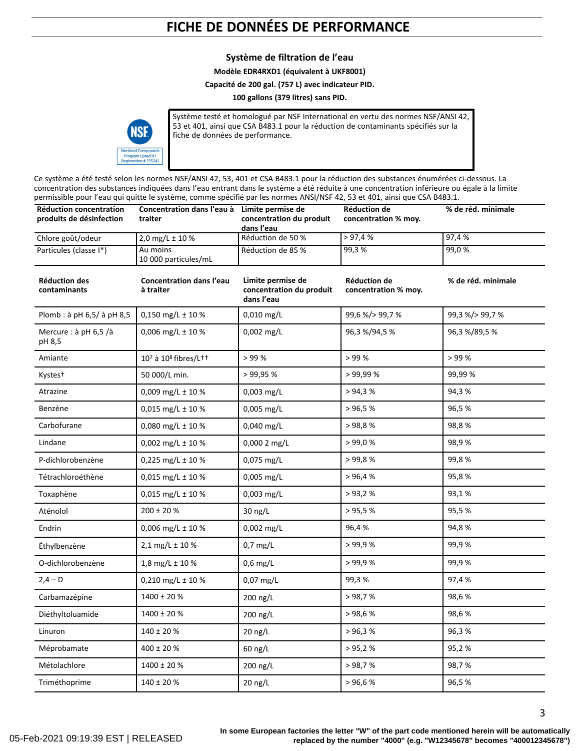# **FICHE DE DONNÉES DE PERFORMANCE**

# **Système de filtration de l'eau**

### **Modèle EDR4RXD1 (équivalent à UKF8001)**

#### **Capacité de 200 gal. (757 L) avec indicateur PID.**

#### **100 gallons (379 litres) sans PID.**



Système testé et homologué par NSF International en vertu des normes NSF/ANSI 42, 53 et 401, ainsi que CSA B483.1 pour la réduction de contaminants spécifiés sur la fiche de données de performance.

Ce système a été testé selon les normes NSF/ANSI 42, 53, 401 et CSA B483.1 pour la réduction des substances énumérées ci-dessous. La concentration des substances indiquées dans l'eau entrant dans le système a été réduite à une concentration inférieure ou égale à la limite permissible pour l'eau qui quitte le système, comme spécifié par les normes ANSI/NSF 42, 53 et 401, ainsi que CSA B483.1.

| <b>Réduction concentration</b><br>produits de désinfection | Concentration dans l'eau à Limite permise de<br>traiter | concentration du produit<br>dans l'eau                      | Réduction de<br>concentration % moy.        | % de réd. minimale |
|------------------------------------------------------------|---------------------------------------------------------|-------------------------------------------------------------|---------------------------------------------|--------------------|
| Chlore goût/odeur                                          | $2,0$ mg/L ± 10 %                                       | Réduction de 50 %                                           | > 97,4%                                     | 97,4%              |
| Particules (classe I*)                                     | Au moins<br>10 000 particules/mL                        | Réduction de 85 %                                           | 99,3%                                       | 99,0%              |
| <b>Réduction des</b><br>contaminants                       | <b>Concentration dans l'eau</b><br>à traiter            | Limite permise de<br>concentration du produit<br>dans l'eau | <b>Réduction de</b><br>concentration % moy. | % de réd. minimale |
| Plomb : à pH 6,5/ à pH 8,5                                 | 0,150 mg/L $\pm$ 10 %                                   | 0,010 mg/L                                                  | 99,6 %/> 99,7 %                             | 99,3 %/> 99,7 %    |
| Mercure : à pH 6,5 /à<br>pH 8,5                            | 0,006 mg/L $\pm$ 10 %                                   | 0,002 mg/L                                                  | 96,3 %/94,5 %                               | 96,3 %/89,5 %      |
| Amiante                                                    | 107 à 108 fibres/L++                                    | > 99%                                                       | >99%                                        | > 99%              |
| Kystes†                                                    | 50 000/L min.                                           | >99,95%                                                     | >99,99%                                     | 99,99 %            |
| Atrazine                                                   | 0,009 mg/L $\pm$ 10 %                                   | 0,003 mg/L                                                  | > 94,3%                                     | 94,3%              |
| Benzène                                                    | 0,015 mg/L $\pm$ 10 %                                   | $0,005$ mg/L                                                | > 96,5%                                     | 96,5%              |
| Carbofurane                                                | 0,080 mg/L $\pm$ 10 %                                   | 0,040 mg/L                                                  | > 98,8%                                     | 98,8%              |
| Lindane                                                    | 0,002 mg/L $\pm$ 10 %                                   | 0,000 2 mg/L                                                | >99.0%                                      | 98,9%              |
| P-dichlorobenzène                                          | 0,225 mg/L $\pm$ 10 %                                   | 0,075 mg/L                                                  | > 99,8%                                     | 99,8%              |
| Tétrachloroéthène                                          | 0,015 mg/L $\pm$ 10 %                                   | $0,005$ mg/L                                                | > 96,4%                                     | 95,8%              |
| Toxaphène                                                  | 0,015 mg/L $\pm$ 10 %                                   | 0,003 mg/L                                                  | > 93,2%                                     | 93,1%              |
| Aténolol                                                   | $200 \pm 20 \%$                                         | 30 ng/L                                                     | > 95,5%                                     | 95,5%              |
| Endrin                                                     | 0,006 mg/L $\pm$ 10 %                                   | 0,002 mg/L                                                  | 96,4%                                       | 94,8%              |
| Éthylbenzène                                               | $2,1$ mg/L $\pm$ 10 %                                   | $0,7$ mg/L                                                  | > 99.9%                                     | 99,9 %             |
| O-dichlorobenzène                                          | 1,8 mg/L ± 10 %                                         | $0,6$ mg/L                                                  | >99.9%                                      | 99,9%              |
| $2,4 - D$                                                  | 0,210 mg/L $\pm$ 10 %                                   | 0,07 mg/L                                                   | 99,3%                                       | 97,4 %             |
| Carbamazépine                                              | $1400 \pm 20 %$                                         | 200 ng/L                                                    | > 98,7%                                     | 98,6%              |
| Diéthyltoluamide                                           | $1400 \pm 20$ %                                         | $200$ ng/L                                                  | >98,6%                                      | 98,6%              |
| Linuron                                                    | 140 ± 20 %                                              | 20 ng/L                                                     | > 96,3%                                     | 96,3%              |
| Méprobamate                                                | $400 \pm 20$ %                                          | 60 ng/L                                                     | > 95.2%                                     | 95,2%              |
| Métolachlore                                               | $1400 \pm 20 %$                                         | 200 ng/L                                                    | > 98,7%                                     | 98,7%              |
| Triméthoprime                                              | $140 \pm 20$ %                                          | 20 ng/L                                                     | > 96,6%                                     | 96,5%              |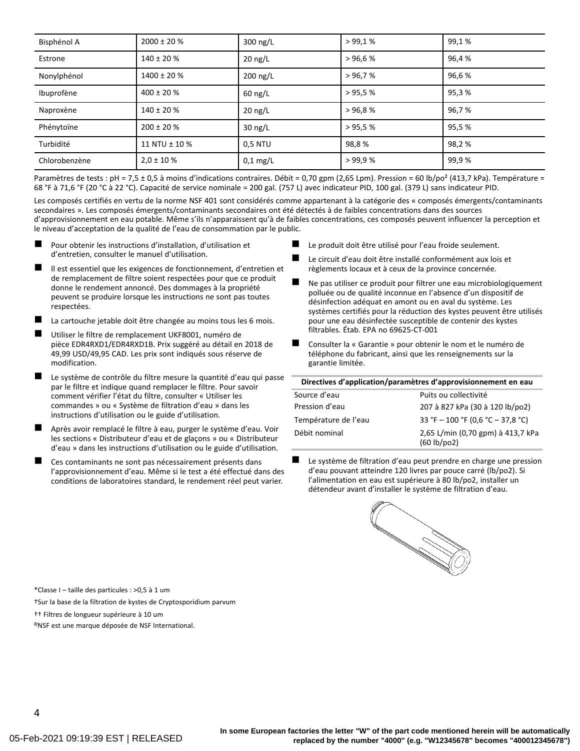| Bisphénol A   | $2000 \pm 20 \%$ | $300$ ng/L | >99.1%   | 99,1% |
|---------------|------------------|------------|----------|-------|
| Estrone       | $140 \pm 20$ %   | $20$ ng/L  | >96.6%   | 96,4% |
| Nonylphénol   | $1400 \pm 20 %$  | $200$ ng/L | > 96.7 % | 96,6% |
| Ibuprofène    | $400 \pm 20 \%$  | $60$ ng/L  | > 95.5 % | 95,3% |
| Naproxène     | $140 \pm 20$ %   | $20$ ng/L  | >96.8%   | 96,7% |
| Phénytoïne    | $200 \pm 20 \%$  | $30$ ng/L  | > 95.5 % | 95,5% |
| Turbidité     | 11 NTU ± 10 %    | 0.5 NTU    | 98,8%    | 98,2% |
| Chlorobenzène | $2.0 \pm 10 \%$  | $0,1$ mg/L | > 99,9%  | 99,9% |

Paramètres de tests : pH = 7,5 ± 0,5 à moins d'indications contraires. Débit = 0,70 gpm (2,65 Lpm). Pression = 60 lb/po<sup>2</sup> (413,7 kPa). Température = 68 °F à 71,6 °F (20 °C à 22 °C). Capacité de service nominale = 200 gal. (757 L) avec indicateur PID, 100 gal. (379 L) sans indicateur PID.

Les composés certifiés en vertu de la norme NSF 401 sont considérés comme appartenant à la catégorie des « composés émergents/contaminants secondaires ». Les composés émergents/contaminants secondaires ont été détectés à de faibles concentrations dans des sources d'approvisionnement en eau potable. Même s'ils n'apparaissent qu'à de faibles concentrations, ces composés peuvent influencer la perception et le niveau d'acceptation de la qualité de l'eau de consommation par le public.

- � Pour obtenir les instructions d'installation, d'utilisation et d'entretien, consulter le manuel d'utilisation.
- Il est essentiel que les exigences de fonctionnement, d'entretien et de remplacement de filtre soient respectées pour que ce produit donne le rendement annoncé. Des dommages à la propriété peuvent se produire lorsque les instructions ne sont pas toutes respectées.
- La cartouche jetable doit être changée au moins tous les 6 mois.
- � Utiliser le filtre de remplacement UKF8001, numéro de pièce EDR4RXD1/EDR4RXD1B. Prix suggéré au détail en 2018 de 49,99 USD/49,95 CAD. Les prix sont indiqués sous réserve de modification.
- Le système de contrôle du filtre mesure la quantité d'eau qui passe par le filtre et indique quand remplacer le filtre. Pour savoir comment vérifier l'état du filtre, consulter « Utiliser les commandes » ou « Système de filtration d'eau » dans les instructions d'utilisation ou le guide d'utilisation.
- � Après avoir remplacé le filtre à eau, purger le système d'eau. Voir les sections « Distributeur d'eau et de glaçons » ou « Distributeur d'eau » dans les instructions d'utilisation ou le guide d'utilisation.
- Ces contaminants ne sont pas nécessairement présents dans l'approvisionnement d'eau. Même si le test a été effectué dans des conditions de laboratoires standard, le rendement réel peut varier.
- Le produit doit être utilisé pour l'eau froide seulement.
- Le circuit d'eau doit être installé conformément aux lois et règlements locaux et à ceux de la province concernée.
- � Ne pas utiliser ce produit pour filtrer une eau microbiologiquement polluée ou de qualité inconnue en l'absence d'un dispositif de désinfection adéquat en amont ou en aval du système. Les systèmes certifiés pour la réduction des kystes peuvent être utilisés pour une eau désinfectée susceptible de contenir des kystes filtrables. Étab. EPA no 69625-CT-001
- � Consulter la « Garantie » pour obtenir le nom et le numéro de téléphone du fabricant, ainsi que les renseignements sur la garantie limitée.

| Directives d'application/paramètres d'approvisionnement en eau |                                                  |  |
|----------------------------------------------------------------|--------------------------------------------------|--|
| Source d'eau                                                   | Puits ou collectivité                            |  |
| Pression d'eau                                                 | 207 à 827 kPa (30 à 120 lb/po2)                  |  |
| Température de l'eau                                           | 33 °F - 100 °F (0,6 °C - 37,8 °C)                |  |
| Débit nominal                                                  | 2,65 L/min (0,70 gpm) à 413,7 kPa<br>(60 lb/po2) |  |

Le système de filtration d'eau peut prendre en charge une pression d'eau pouvant atteindre 120 livres par pouce carré (lb/po2). Si l'alimentation en eau est supérieure à 80 lb/po2, installer un détendeur avant d'installer le système de filtration d'eau.



\*Classe I – taille des particules : >0,5 à 1 um

†Sur la base de la filtration de kystes de Cryptosporidium parvum

†† Filtres de longueur supérieure à 10 um

®NSF est une marque déposée de NSF International.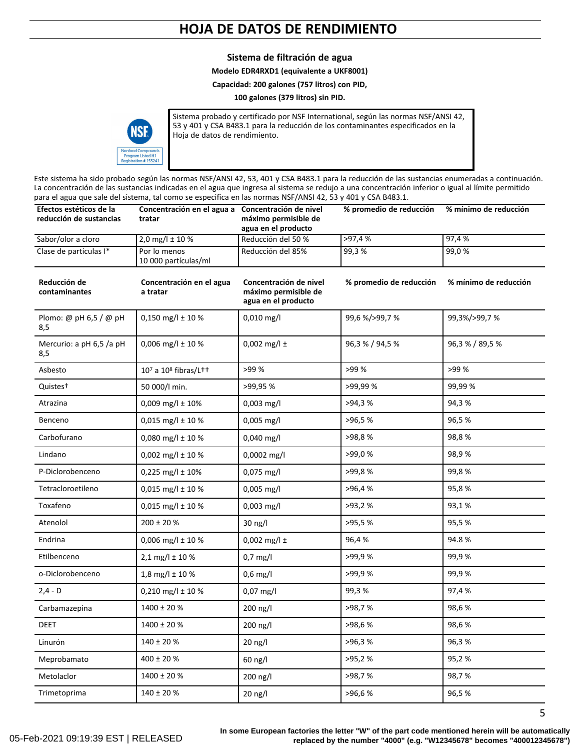# **HOJA DE DATOS DE RENDIMIENTO**

## **Sistema de filtración de agua**

## **Modelo EDR4RXD1 (equivalente a UKF8001)**

#### **Capacidad: 200 galones (757 litros) con PID,**

### **100 galones (379 litros) sin PID.**



Sistema probado y certificado por NSF International, según las normas NSF/ANSI 42, 53 y 401 y CSA B483.1 para la reducción de los contaminantes especificados en la Hoja de datos de rendimiento.

Este sistema ha sido probado según las normas NSF/ANSI 42, 53, 401 y CSA B483.1 para la reducción de las sustancias enumeradas a continuación. La concentración de las sustancias indicadas en el agua que ingresa al sistema se redujo a una concentración inferior o igual al límite permitido para el agua que sale del sistema, tal como se especifica en las normas NSF/ANSI 42, 53 y 401 y CSA B483.1.

| Efectos estéticos de la<br>reducción de sustancias | Concentración en el agua a Concentración de nivel<br>tratar | máximo permisible de<br>agua en el producto                           | % promedio de reducción | % mínimo de reducción |
|----------------------------------------------------|-------------------------------------------------------------|-----------------------------------------------------------------------|-------------------------|-----------------------|
| Sabor/olor a cloro                                 | 2,0 mg/l ± 10 %                                             | Reducción del 50 %                                                    | >97,4%                  | 97,4%                 |
| Clase de partículas I*                             | Por lo menos<br>10 000 partículas/ml                        | Reducción del 85%                                                     | 99,3%                   | 99,0%                 |
| Reducción de<br>contaminantes                      | Concentración en el agua<br>a tratar                        | Concentración de nivel<br>máximo permisible de<br>agua en el producto | % promedio de reducción | % mínimo de reducción |
| Plomo: @ pH 6,5 / @ pH<br>8,5                      | 0,150 mg/l $\pm$ 10 %                                       | $0,010$ mg/l                                                          | 99,6 %/>99,7 %          | 99,3%/>99,7%          |
| Mercurio: a pH 6,5 /a pH<br>8,5                    | 0,006 mg/l $\pm$ 10 %                                       | 0,002 mg/l ±                                                          | 96,3 % / 94,5 %         | 96,3 % / 89,5 %       |
| Asbesto                                            | 107 a 108 fibras/L++                                        | >99 %                                                                 | >99 %                   | >99 %                 |
| Quistes <sup>+</sup>                               | 50 000/l min.                                               | >99,95 %                                                              | >99,99 %                | 99,99 %               |
| Atrazina                                           | 0,009 mg/l $\pm$ 10%                                        | $0,003$ mg/l                                                          | >94,3%                  | 94,3%                 |
| Benceno                                            | 0,015 mg/l $\pm$ 10 %                                       | $0,005$ mg/l                                                          | >96,5%                  | 96,5%                 |
| Carbofurano                                        | 0,080 mg/l $\pm$ 10 %                                       | 0,040 mg/l                                                            | >98,8%                  | 98,8%                 |
| Lindano                                            | 0,002 mg/l ± 10 %                                           | 0,0002 mg/l                                                           | >99,0 %                 | 98,9%                 |
| P-Diclorobenceno                                   | $0,225$ mg/l ± 10%                                          | 0,075 mg/l                                                            | >99,8%                  | 99,8%                 |
| Tetracloroetileno                                  | 0,015 mg/l $\pm$ 10 %                                       | $0,005$ mg/l                                                          | >96,4%                  | 95,8%                 |
| Toxafeno                                           | 0,015 mg/l ± 10 %                                           | $0,003$ mg/l                                                          | >93,2%                  | 93,1%                 |
| Atenolol                                           | $200 \pm 20 \%$                                             | 30 ng/l                                                               | >95,5%                  | 95,5%                 |
| Endrina                                            | 0,006 mg/l $\pm$ 10 %                                       | 0,002 mg/l ±                                                          | 96,4%                   | 94.8%                 |
| Etilbenceno                                        | $2,1$ mg/l $\pm$ 10 %                                       | $0,7$ mg/l                                                            | >99,9%                  | 99,9%                 |
| o-Diclorobenceno                                   | 1,8 mg/l $\pm$ 10 %                                         | $0,6$ mg/l                                                            | >99,9%                  | 99,9%                 |
| $2,4 - D$                                          | 0,210 mg/l $\pm$ 10 %                                       | 0,07 mg/l                                                             | 99,3%                   | 97,4%                 |
| Carbamazepina                                      | $1400 \pm 20 %$                                             | 200 ng/l                                                              | >98,7%                  | 98,6%                 |
| DEET                                               | $1400 \pm 20$ %                                             | 200 ng/l                                                              | >98,6 %                 | 98,6%                 |
| Linurón                                            | 140 ± 20 %                                                  | 20 ng/l                                                               | >96,3%                  | 96,3%                 |
| Meprobamato                                        | $400 \pm 20 \%$                                             | 60 ng/l                                                               | >95,2%                  | 95,2%                 |
| Metolaclor                                         | 1400 ± 20 %                                                 | 200 ng/l                                                              | >98,7%                  | 98,7%                 |
| Trimetoprima                                       | 140 ± 20 %                                                  | 20 ng/l                                                               | >96,6%                  | 96,5%                 |